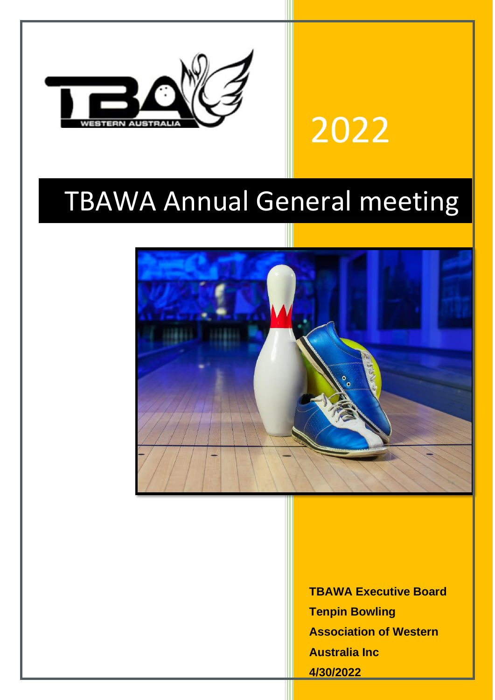

# 2022

## TBAWA Annual General meeting



**TBAWA Executive Board Tenpin Bowling Association of Western Australia Inc 4/30/2022**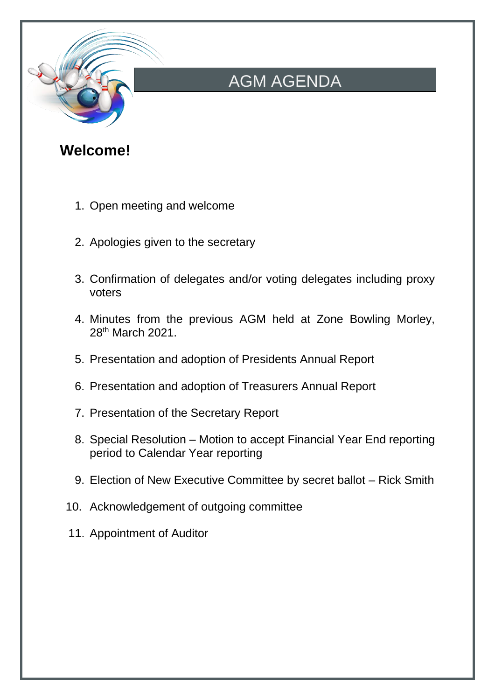

### AGM AGENDA

### **Welcome!**

- 1. Open meeting and welcome
- 2. Apologies given to the secretary
- 3. Confirmation of delegates and/or voting delegates including proxy voters
- 4. Minutes from the previous AGM held at Zone Bowling Morley, 28<sup>th</sup> March 2021.
- 5. Presentation and adoption of Presidents Annual Report
- 6. Presentation and adoption of Treasurers Annual Report
- 7. Presentation of the Secretary Report
- 8. Special Resolution Motion to accept Financial Year End reporting period to Calendar Year reporting
- 9. Election of New Executive Committee by secret ballot Rick Smith
- 10. Acknowledgement of outgoing committee
- 11. Appointment of Auditor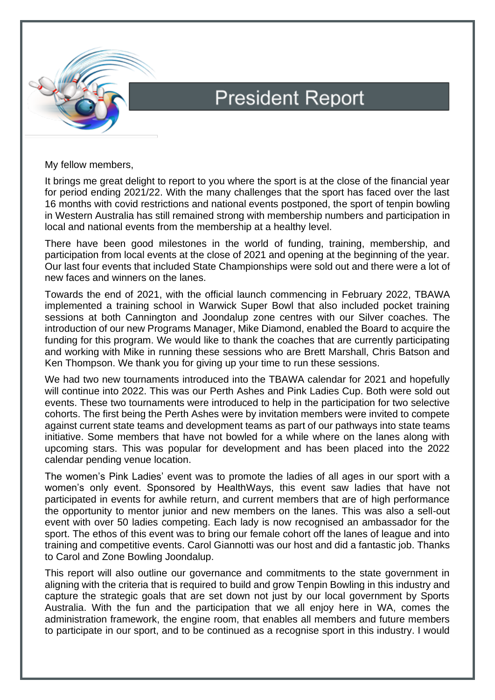

### **President Report**

My fellow members,

It brings me great delight to report to you where the sport is at the close of the financial year for period ending 2021/22. With the many challenges that the sport has faced over the last 16 months with covid restrictions and national events postponed, the sport of tenpin bowling in Western Australia has still remained strong with membership numbers and participation in local and national events from the membership at a healthy level.

There have been good milestones in the world of funding, training, membership, and participation from local events at the close of 2021 and opening at the beginning of the year. Our last four events that included State Championships were sold out and there were a lot of new faces and winners on the lanes.

Towards the end of 2021, with the official launch commencing in February 2022, TBAWA implemented a training school in Warwick Super Bowl that also included pocket training sessions at both Cannington and Joondalup zone centres with our Silver coaches. The introduction of our new Programs Manager, Mike Diamond, enabled the Board to acquire the funding for this program. We would like to thank the coaches that are currently participating and working with Mike in running these sessions who are Brett Marshall, Chris Batson and Ken Thompson. We thank you for giving up your time to run these sessions.

We had two new tournaments introduced into the TBAWA calendar for 2021 and hopefully will continue into 2022. This was our Perth Ashes and Pink Ladies Cup. Both were sold out events. These two tournaments were introduced to help in the participation for two selective cohorts. The first being the Perth Ashes were by invitation members were invited to compete against current state teams and development teams as part of our pathways into state teams initiative. Some members that have not bowled for a while where on the lanes along with upcoming stars. This was popular for development and has been placed into the 2022 calendar pending venue location.

The women's Pink Ladies' event was to promote the ladies of all ages in our sport with a women's only event. Sponsored by HealthWays, this event saw ladies that have not participated in events for awhile return, and current members that are of high performance the opportunity to mentor junior and new members on the lanes. This was also a sell-out event with over 50 ladies competing. Each lady is now recognised an ambassador for the sport. The ethos of this event was to bring our female cohort off the lanes of league and into training and competitive events. Carol Giannotti was our host and did a fantastic job. Thanks to Carol and Zone Bowling Joondalup.

This report will also outline our governance and commitments to the state government in aligning with the criteria that is required to build and grow Tenpin Bowling in this industry and capture the strategic goals that are set down not just by our local government by Sports Australia. With the fun and the participation that we all enjoy here in WA, comes the administration framework, the engine room, that enables all members and future members to participate in our sport, and to be continued as a recognise sport in this industry. I would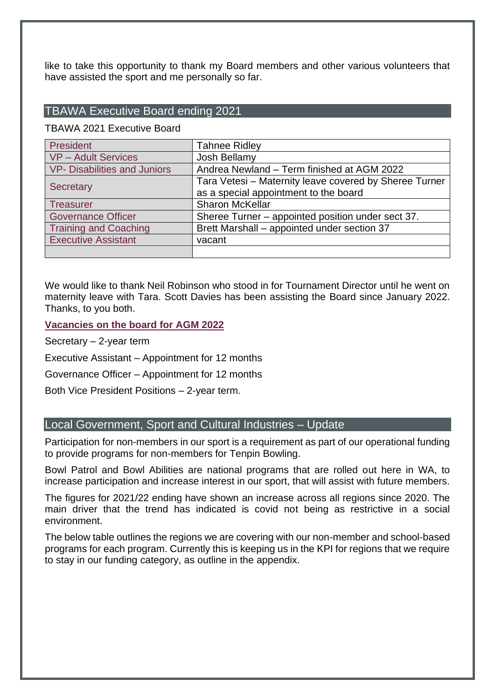like to take this opportunity to thank my Board members and other various volunteers that have assisted the sport and me personally so far.

#### TBAWA Executive Board ending 2021

#### TBAWA 2021 Executive Board

| President                           | <b>Tahnee Ridley</b>                                   |
|-------------------------------------|--------------------------------------------------------|
| <b>VP-Adult Services</b>            | Josh Bellamy                                           |
| <b>VP- Disabilities and Juniors</b> | Andrea Newland - Term finished at AGM 2022             |
|                                     | Tara Vetesi - Maternity leave covered by Sheree Turner |
| <b>Secretary</b>                    | as a special appointment to the board                  |
| <b>Treasurer</b>                    | <b>Sharon McKellar</b>                                 |
| <b>Governance Officer</b>           | Sheree Turner – appointed position under sect 37.      |
| <b>Training and Coaching</b>        | Brett Marshall - appointed under section 37            |
| <b>Executive Assistant</b>          | vacant                                                 |
|                                     |                                                        |

We would like to thank Neil Robinson who stood in for Tournament Director until he went on maternity leave with Tara. Scott Davies has been assisting the Board since January 2022. Thanks, to you both.

**Vacancies on the board for AGM 2022**

Secretary – 2-year term

Executive Assistant – Appointment for 12 months

Governance Officer – Appointment for 12 months

Both Vice President Positions – 2-year term.

#### Local Government, Sport and Cultural Industries – Update

Participation for non-members in our sport is a requirement as part of our operational funding to provide programs for non-members for Tenpin Bowling.

Bowl Patrol and Bowl Abilities are national programs that are rolled out here in WA, to increase participation and increase interest in our sport, that will assist with future members.

The figures for 2021/22 ending have shown an increase across all regions since 2020. The main driver that the trend has indicated is covid not being as restrictive in a social environment.

The below table outlines the regions we are covering with our non-member and school-based programs for each program. Currently this is keeping us in the KPI for regions that we require to stay in our funding category, as outline in the appendix.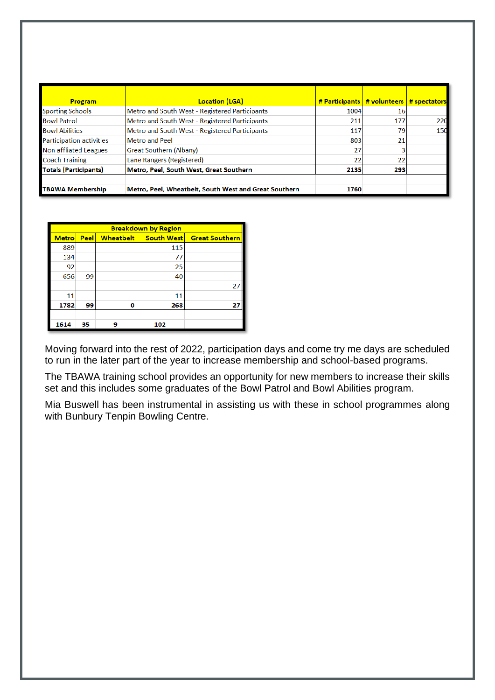| <b>Program</b>                  | <b>Location (LGA)</b>                                 | # Participants   # volunteers   # spectators |     |     |
|---------------------------------|-------------------------------------------------------|----------------------------------------------|-----|-----|
| <b>Sporting Schools</b>         | Metro and South West - Registered Participants        | 1004                                         | 16  |     |
| <b>Bowl Patrol</b>              | Metro and South West - Registered Participants        | 211                                          | 177 | 220 |
| <b>Bowl Abilities</b>           | Metro and South West - Registered Participants        | 117                                          | 79  | 150 |
| <b>Participation activities</b> | <b>Metro and Peel</b>                                 | 803                                          | 21  |     |
| <b>Non affliated Leagues</b>    | <b>Great Southern (Albany)</b>                        | 27                                           |     |     |
| <b>Coach Training</b>           | Lane Rangers (Registered)                             | 22                                           | 22  |     |
| <b>Totals (Participants)</b>    | Metro, Peel, South West, Great Southern               | 2135                                         | 293 |     |
|                                 |                                                       |                                              |     |     |
| <b>TBAWA Membership</b>         | Metro, Peel, Wheatbelt, South West and Great Southern | 1760                                         |     |     |

| <b>Breakdown by Region</b> |       |                  |                   |                       |
|----------------------------|-------|------------------|-------------------|-----------------------|
| <b>Metro</b>               | Peell | <b>Wheatbelt</b> | <b>South West</b> | <b>Great Southern</b> |
| 889                        |       |                  | 115               |                       |
| 134                        |       |                  | 77                |                       |
| 92                         |       |                  | 25                |                       |
| 656                        | 99    |                  | 40                |                       |
|                            |       |                  |                   | 27                    |
| 11                         |       |                  | 11                |                       |
| 1782                       | 99    | 0                | 268               | 27                    |
|                            |       |                  |                   |                       |
| 1614                       | 35    |                  | 102               |                       |

Moving forward into the rest of 2022, participation days and come try me days are scheduled to run in the later part of the year to increase membership and school-based programs.

The TBAWA training school provides an opportunity for new members to increase their skills set and this includes some graduates of the Bowl Patrol and Bowl Abilities program.

Mia Buswell has been instrumental in assisting us with these in school programmes along with Bunbury Tenpin Bowling Centre.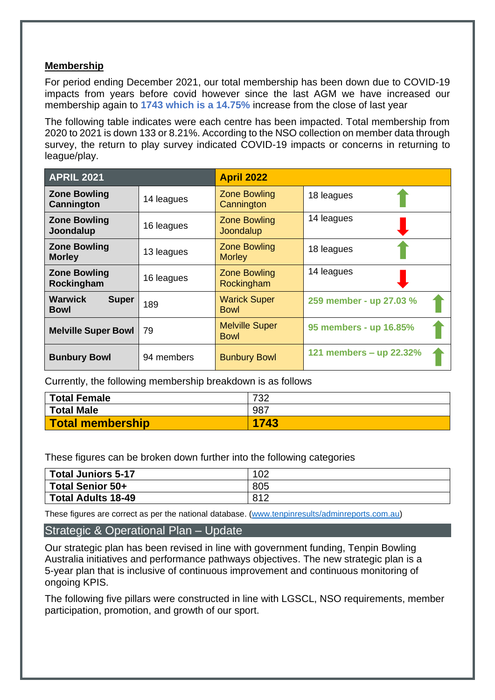#### **Membership**

For period ending December 2021, our total membership has been down due to COVID-19 impacts from years before covid however since the last AGM we have increased our membership again to **1743 which is a 14.75%** increase from the close of last year

The following table indicates were each centre has been impacted. Total membership from 2020 to 2021 is down 133 or 8.21%. According to the NSO collection on member data through survey, the return to play survey indicated COVID-19 impacts or concerns in returning to league/play.

| <b>APRIL 2021</b>                             |            | <b>April 2022</b>                    |                         |
|-----------------------------------------------|------------|--------------------------------------|-------------------------|
| <b>Zone Bowling</b><br>Cannington             | 14 leagues | <b>Zone Bowling</b><br>Cannington    | 18 leagues              |
| <b>Zone Bowling</b><br>Joondalup              | 16 leagues | <b>Zone Bowling</b><br>Joondalup     | 14 leagues              |
| <b>Zone Bowling</b><br><b>Morley</b>          | 13 leagues | <b>Zone Bowling</b><br><b>Morley</b> | 18 leagues              |
| <b>Zone Bowling</b><br>Rockingham             | 16 leagues | <b>Zone Bowling</b><br>Rockingham    | 14 leagues              |
| <b>Warwick</b><br><b>Super</b><br><b>Bowl</b> | 189        | <b>Warick Super</b><br><b>Bowl</b>   | 259 member - up 27.03 % |
| <b>Melville Super Bowl</b>                    | 79         | <b>Melville Super</b><br><b>Bowl</b> | 95 members - up 16.85%  |
| <b>Bunbury Bowl</b>                           | 94 members | <b>Bunbury Bowl</b>                  | 121 members - up 22.32% |

Currently, the following membership breakdown is as follows

| <b>Total Female</b> | 722<br>∠ت |
|---------------------|-----------|
| <b>Total Male</b>   | 987       |
| Total membership    | 1743      |

These figures can be broken down further into the following categories

| <b>Total Juniors 5-17</b> | 102 |
|---------------------------|-----|
| <b>Total Senior 50+</b>   | 805 |
| <b>Total Adults 18-49</b> | 010 |

These figures are correct as per the national database. [\(www.tenpinresults/adminreports.com.au\)](http://www.tenpinresults/adminreports.com.au)

#### Strategic & Operational Plan – Update

Our strategic plan has been revised in line with government funding, Tenpin Bowling Australia initiatives and performance pathways objectives. The new strategic plan is a 5-year plan that is inclusive of continuous improvement and continuous monitoring of ongoing KPIS.

The following five pillars were constructed in line with LGSCL, NSO requirements, member participation, promotion, and growth of our sport.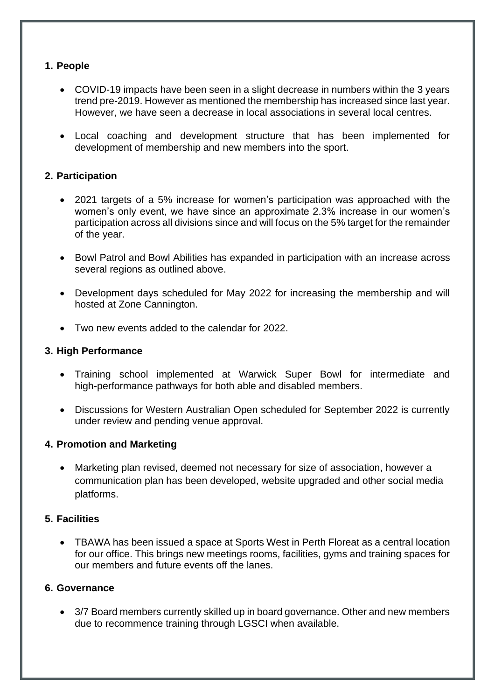#### **1. People**

- COVID-19 impacts have been seen in a slight decrease in numbers within the 3 years trend pre-2019. However as mentioned the membership has increased since last year. However, we have seen a decrease in local associations in several local centres.
- Local coaching and development structure that has been implemented for development of membership and new members into the sport.

#### **2. Participation**

- 2021 targets of a 5% increase for women's participation was approached with the women's only event, we have since an approximate 2.3% increase in our women's participation across all divisions since and will focus on the 5% target for the remainder of the year.
- Bowl Patrol and Bowl Abilities has expanded in participation with an increase across several regions as outlined above.
- Development days scheduled for May 2022 for increasing the membership and will hosted at Zone Cannington.
- Two new events added to the calendar for 2022.

#### **3. High Performance**

- Training school implemented at Warwick Super Bowl for intermediate and high-performance pathways for both able and disabled members.
- Discussions for Western Australian Open scheduled for September 2022 is currently under review and pending venue approval.

#### **4. Promotion and Marketing**

• Marketing plan revised, deemed not necessary for size of association, however a communication plan has been developed, website upgraded and other social media platforms.

#### **5. Facilities**

• TBAWA has been issued a space at Sports West in Perth Floreat as a central location for our office. This brings new meetings rooms, facilities, gyms and training spaces for our members and future events off the lanes.

#### **6. Governance**

• 3/7 Board members currently skilled up in board governance. Other and new members due to recommence training through LGSCI when available.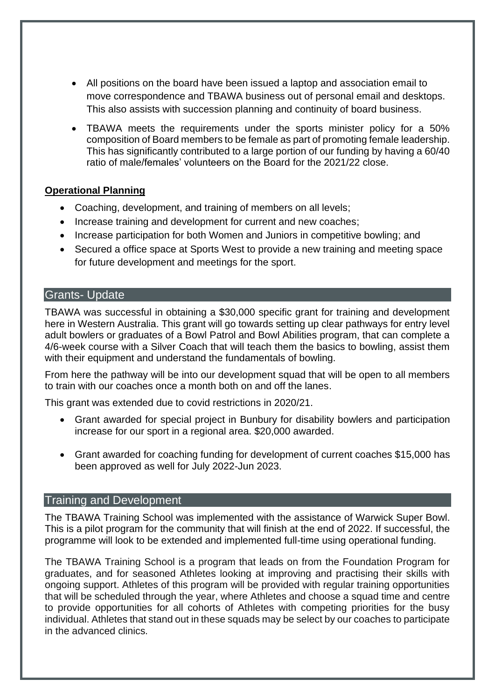- All positions on the board have been issued a laptop and association email to move correspondence and TBAWA business out of personal email and desktops. This also assists with succession planning and continuity of board business.
- TBAWA meets the requirements under the sports minister policy for a 50% composition of Board members to be female as part of promoting female leadership. This has significantly contributed to a large portion of our funding by having a 60/40 ratio of male/females' volunteers on the Board for the 2021/22 close.

#### **Operational Planning**

- Coaching, development, and training of members on all levels;
- Increase training and development for current and new coaches;
- Increase participation for both Women and Juniors in competitive bowling: and
- Secured a office space at Sports West to provide a new training and meeting space for future development and meetings for the sport.

#### Grants- Update

TBAWA was successful in obtaining a \$30,000 specific grant for training and development here in Western Australia. This grant will go towards setting up clear pathways for entry level adult bowlers or graduates of a Bowl Patrol and Bowl Abilities program, that can complete a 4/6-week course with a Silver Coach that will teach them the basics to bowling, assist them with their equipment and understand the fundamentals of bowling.

From here the pathway will be into our development squad that will be open to all members to train with our coaches once a month both on and off the lanes.

This grant was extended due to covid restrictions in 2020/21.

- Grant awarded for special project in Bunbury for disability bowlers and participation increase for our sport in a regional area. \$20,000 awarded.
- Grant awarded for coaching funding for development of current coaches \$15,000 has been approved as well for July 2022-Jun 2023.

#### Training and Development

The TBAWA Training School was implemented with the assistance of Warwick Super Bowl. This is a pilot program for the community that will finish at the end of 2022. If successful, the programme will look to be extended and implemented full-time using operational funding.

The TBAWA Training School is a program that leads on from the Foundation Program for graduates, and for seasoned Athletes looking at improving and practising their skills with ongoing support. Athletes of this program will be provided with regular training opportunities that will be scheduled through the year, where Athletes and choose a squad time and centre to provide opportunities for all cohorts of Athletes with competing priorities for the busy individual. Athletes that stand out in these squads may be select by our coaches to participate in the advanced clinics.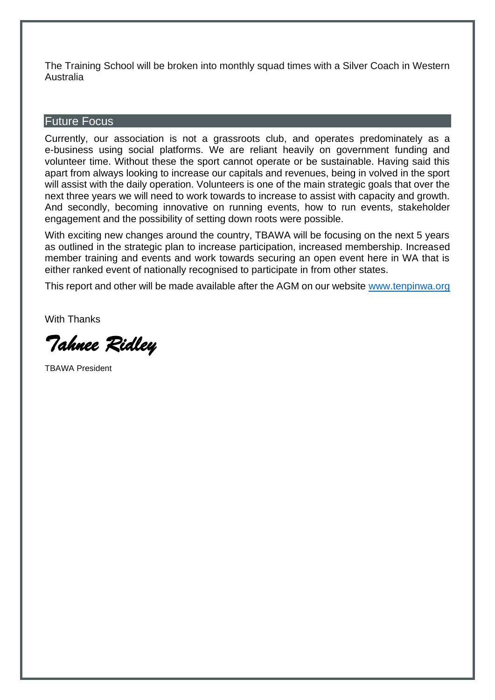The Training School will be broken into monthly squad times with a Silver Coach in Western Australia

#### Future Focus

Currently, our association is not a grassroots club, and operates predominately as a e-business using social platforms. We are reliant heavily on government funding and volunteer time. Without these the sport cannot operate or be sustainable. Having said this apart from always looking to increase our capitals and revenues, being in volved in the sport will assist with the daily operation. Volunteers is one of the main strategic goals that over the next three years we will need to work towards to increase to assist with capacity and growth. And secondly, becoming innovative on running events, how to run events, stakeholder engagement and the possibility of setting down roots were possible.

With exciting new changes around the country, TBAWA will be focusing on the next 5 years as outlined in the strategic plan to increase participation, increased membership. Increased member training and events and work towards securing an open event here in WA that is either ranked event of nationally recognised to participate in from other states.

This report and other will be made available after the AGM on our website [www.tenpinwa.org](http://www.tenpinwa.org/)

With Thanks

*Tahnee Ridley* 

TBAWA President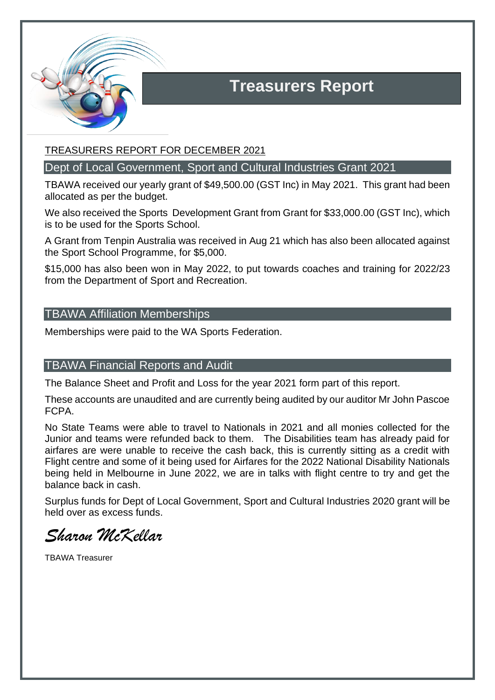

### **Treasurers Report**

#### TREASURERS REPORT FOR DECEMBER 2021

Dept of Local Government, Sport and Cultural Industries Grant 2021

TBAWA received our yearly grant of \$49,500.00 (GST Inc) in May 2021. This grant had been allocated as per the budget.

We also received the Sports Development Grant from Grant for \$33,000.00 (GST Inc), which is to be used for the Sports School.

A Grant from Tenpin Australia was received in Aug 21 which has also been allocated against the Sport School Programme, for \$5,000.

\$15,000 has also been won in May 2022, to put towards coaches and training for 2022/23 from the Department of Sport and Recreation.

#### TBAWA Affiliation Memberships

Memberships were paid to the WA Sports Federation.

#### TBAWA Financial Reports and Audit

The Balance Sheet and Profit and Loss for the year 2021 form part of this report.

These accounts are unaudited and are currently being audited by our auditor Mr John Pascoe FCPA.

No State Teams were able to travel to Nationals in 2021 and all monies collected for the Junior and teams were refunded back to them. The Disabilities team has already paid for airfares are were unable to receive the cash back, this is currently sitting as a credit with Flight centre and some of it being used for Airfares for the 2022 National Disability Nationals being held in Melbourne in June 2022, we are in talks with flight centre to try and get the balance back in cash.

Surplus funds for Dept of Local Government, Sport and Cultural Industries 2020 grant will be held over as excess funds.



TBAWA Treasurer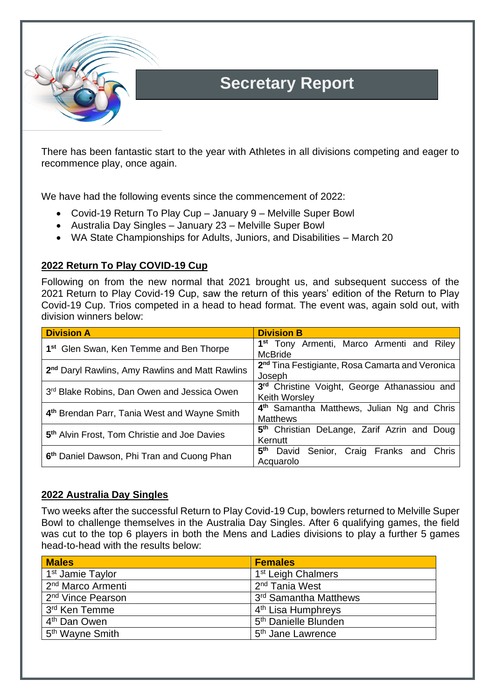

### **Secretary Report**

There has been fantastic start to the year with Athletes in all divisions competing and eager to recommence play, once again.

We have had the following events since the commencement of 2022:

- Covid-19 Return To Play Cup January 9 Melville Super Bowl
- Australia Day Singles January 23 Melville Super Bowl
- WA State Championships for Adults, Juniors, and Disabilities March 20

#### **2022 Return To Play COVID-19 Cup**

Following on from the new normal that 2021 brought us, and subsequent success of the 2021 Return to Play Covid-19 Cup, saw the return of this years' edition of the Return to Play Covid-19 Cup. Trios competed in a head to head format. The event was, again sold out, with division winners below:

| <b>Division A</b>                                           | <b>Division B</b>                                           |
|-------------------------------------------------------------|-------------------------------------------------------------|
| 1 <sup>st</sup> Glen Swan, Ken Temme and Ben Thorpe         | 1 <sup>st</sup> Tony Armenti, Marco Armenti and Riley       |
|                                                             | <b>McBride</b>                                              |
| 2 <sup>nd</sup> Daryl Rawlins, Amy Rawlins and Matt Rawlins | 2 <sup>nd</sup> Tina Festigiante, Rosa Camarta and Veronica |
|                                                             | Joseph                                                      |
| 3rd Blake Robins, Dan Owen and Jessica Owen                 | 3 <sup>rd</sup> Christine Voight, George Athanassiou and    |
|                                                             | Keith Worsley                                               |
| 4 <sup>th</sup> Brendan Parr, Tania West and Wayne Smith    | 4 <sup>th</sup> Samantha Matthews, Julian Ng and Chris      |
|                                                             | <b>Matthews</b>                                             |
| 5 <sup>th</sup> Alvin Frost, Tom Christie and Joe Davies    | 5 <sup>th</sup> Christian DeLange, Zarif Azrin and Doug     |
|                                                             | Kernutt                                                     |
| 6 <sup>th</sup> Daniel Dawson, Phi Tran and Cuong Phan      | 5 <sup>th</sup> David Senior, Craig Franks and Chris        |
|                                                             | Acquarolo                                                   |

#### **2022 Australia Day Singles**

Two weeks after the successful Return to Play Covid-19 Cup, bowlers returned to Melville Super Bowl to challenge themselves in the Australia Day Singles. After 6 qualifying games, the field was cut to the top 6 players in both the Mens and Ladies divisions to play a further 5 games head-to-head with the results below:

| <b>Males</b>                  | <b>Females</b>                   |
|-------------------------------|----------------------------------|
| 1 <sup>st</sup> Jamie Taylor  | 1 <sup>st</sup> Leigh Chalmers   |
| 2 <sup>nd</sup> Marco Armenti | 2 <sup>nd</sup> Tania West       |
| 2 <sup>nd</sup> Vince Pearson | 3rd Samantha Matthews            |
| 3 <sup>rd</sup> Ken Temme     | 4 <sup>th</sup> Lisa Humphreys   |
| 4 <sup>th</sup> Dan Owen      | 5 <sup>th</sup> Danielle Blunden |
| 5 <sup>th</sup> Wayne Smith   | 5 <sup>th</sup> Jane Lawrence    |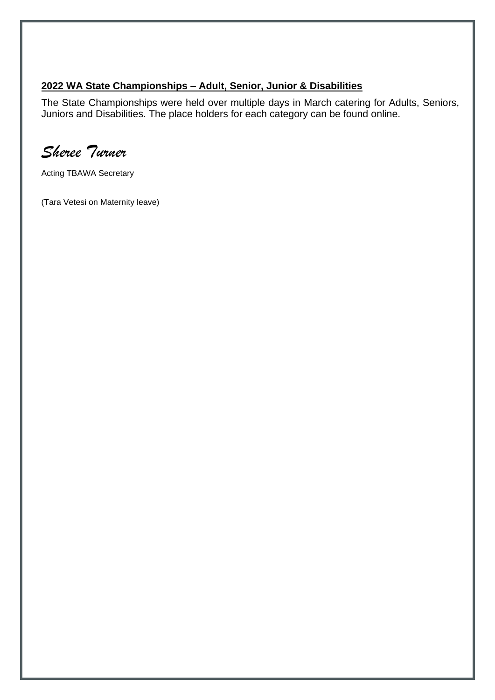#### **2022 WA State Championships – Adult, Senior, Junior & Disabilities**

The State Championships were held over multiple days in March catering for Adults, Seniors, Juniors and Disabilities. The place holders for each category can be found online.

*Sheree Turner*

Acting TBAWA Secretary

(Tara Vetesi on Maternity leave)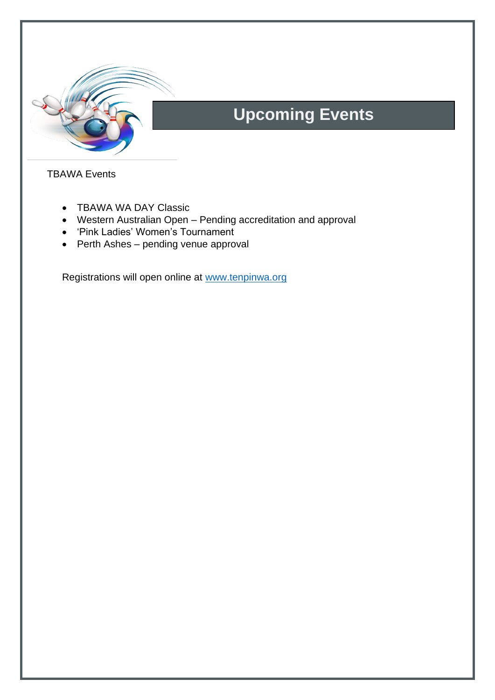

### **Upcoming Events**

TBAWA Events

- TBAWA WA DAY Classic
- Western Australian Open Pending accreditation and approval
- 'Pink Ladies' Women's Tournament
- Perth Ashes pending venue approval

Registrations will open online at [www.tenpinwa.org](http://www.tenpinwa.org/)